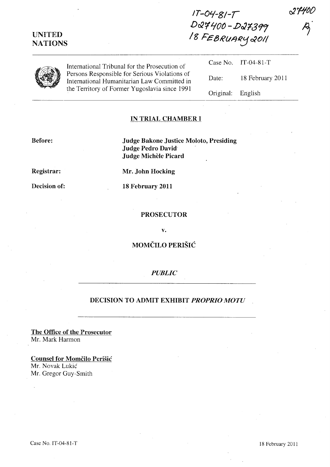# UNITED NATIONS

 $1T-04-S1-T$ DQ7400 - DQ7399 / g Fe 13RlI,&Jt<.:J *t:XOI/* 



International Tribunal for the Prosecution Persons Responsible for Serious Vio International Humanitarian Law Con the Territory of Former Yugoslavia s

| ution of                 |                   | Case No. IT-04-81-T |
|--------------------------|-------------------|---------------------|
| lations of<br>nmitted in | Date:             | 18 February 2011    |
| since 1991               | Original: English |                     |

#### IN TRIAL CHAMBER I

Before:

Judge Bakone Justice Moloto, Presiding Judge Pedro David-Judge Michèle Picard

Registrar:

Decision of:

Mr. John Hocking

18 February 2011

#### PROSECUTOR

v.

## MOMCILO PERISIC

### *PUBLIC*

## DECISION TO ADMIT EXHIBIT *PROPRIO MOTU*

The Office of the Prosecutor Mr. Mark Harmon

Counsel for Momčilo Perišić Mr. Novak Lukic Mr. Gregor Guy-Smith